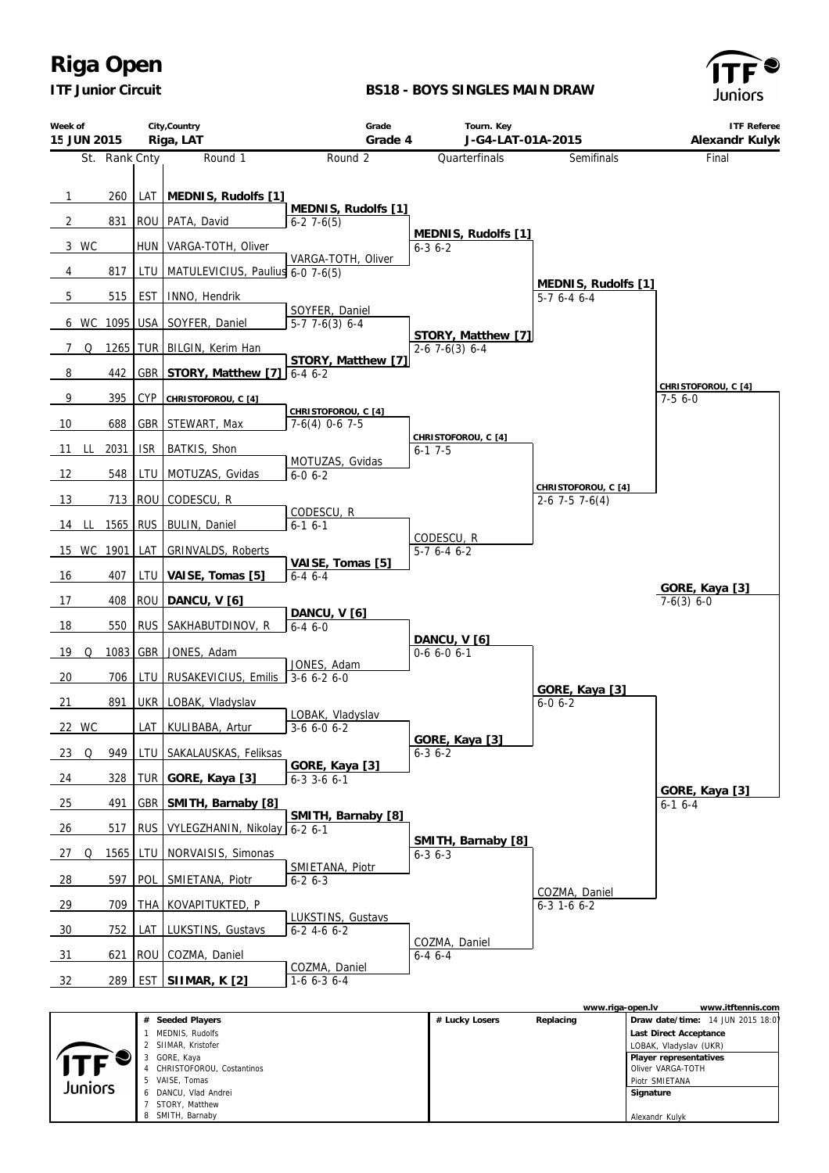*ITF Junior Circuit*

### **BS18 - BOYS SINGLES MAIN DRAW**



| Week of<br>15 JUN 2015 |   |               |            | City, Country<br>Riga, LAT       | Grade<br>Grade 4                        | Tourn. Key<br>J-G4-LAT-01A-2015              |                                         | <b>ITF Referee</b><br>Alexandr Kulyk |
|------------------------|---|---------------|------------|----------------------------------|-----------------------------------------|----------------------------------------------|-----------------------------------------|--------------------------------------|
|                        |   | St. Rank Cnty |            | Round 1                          | Round 2                                 | Quarterfinals                                | Semifinals                              | Final                                |
|                        |   |               |            |                                  |                                         |                                              |                                         |                                      |
| $\mathbf{1}$           |   | 260           | LAT        | MEDNIS, Rudolfs [1]              | MEDNIS, Rudolfs [1]                     |                                              |                                         |                                      |
| $\overline{2}$         |   | 831           |            | ROU   PATA, David                | $6-27-6(5)$                             | MEDNIS, Rudolfs [1]                          |                                         |                                      |
| 3 WC                   |   |               | <b>HUN</b> | VARGA-TOTH, Oliver               |                                         | $6 - 3$ $6 - 2$                              |                                         |                                      |
| 4                      |   | 817           | LTU        | MATULEVICIUS, Paulius 6-0 7-6(5) | VARGA-TOTH, Oliver                      |                                              |                                         |                                      |
| 5                      |   | 515           | <b>EST</b> | INNO, Hendrik                    |                                         |                                              | MEDNIS, Rudolfs [1]<br>$5-76-46-4$      |                                      |
| 6 WC                   |   | 1095          | <b>USA</b> | SOYFER, Daniel                   | SOYFER, Daniel<br>$5-77-6(3)6-4$        |                                              |                                         |                                      |
| 7                      | Q | 1265 TUR      |            | BILGIN, Kerim Han                |                                         | STORY, Matthew [7]<br>$2-6$ 7 $-6(3)$ 6 $-4$ |                                         |                                      |
| 8                      |   | 442           | GBR        | STORY, Matthew [7]               | STORY, Matthew [7]<br>$6-46-2$          |                                              |                                         |                                      |
| 9                      |   | 395           | <b>CYP</b> | CHRISTOFOROU, C [4]              |                                         |                                              |                                         | CHRISTOFOROU, C [4]<br>$7-56-0$      |
| 10                     |   | 688           | GBR        | STEWART, Max                     | CHRISTOFOROU, C [4]<br>$7-6(4)$ 0-6 7-5 |                                              |                                         |                                      |
| - LL<br>11             |   | 2031          | <b>ISR</b> | BATKIS, Shon                     |                                         | CHRISTOFOROU, C [4]<br>$6 - 17 - 5$          |                                         |                                      |
| 12                     |   | 548           | LTU        | MOTUZAS, Gvidas                  | MOTUZAS, Gvidas<br>$6 - 0 6 - 2$        |                                              |                                         |                                      |
| 13                     |   | 713           | ROU        | CODESCU, R                       |                                         |                                              | CHRISTOFOROU, C [4]<br>$2-6$ 7-5 7-6(4) |                                      |
| 14 LL                  |   | 1565          | <b>RUS</b> | <b>BULIN, Daniel</b>             | CODESCU, R<br>$6-1$ $6-1$               |                                              |                                         |                                      |
| 15 WC 1901             |   |               | LAT        | <b>GRINVALDS, Roberts</b>        |                                         | CODESCU, R<br>$5-76-46-2$                    |                                         |                                      |
|                        |   |               |            |                                  | VAISE, Tomas [5]                        |                                              |                                         |                                      |
| 16                     |   | 407           | LTU        | VAISE, Tomas [5]                 | $6 - 4$ $6 - 4$                         |                                              |                                         | GORE, Kaya [3]                       |
| 17                     |   | 408           | ROU        | DANCU, V [6]                     | DANCU, V [6]                            |                                              |                                         | $7-6(3) 6-0$                         |
| 18                     |   | 550           | <b>RUS</b> | SAKHABUTDINOV, R                 | $6 - 46 - 0$                            | DANCU, V [6]                                 |                                         |                                      |
| 19                     | Q | 1083          | GBR        | JONES, Adam                      | JONES, Adam                             | $0-66-06-1$                                  |                                         |                                      |
| 20                     |   | 706           | LTU        | RUSAKEVICIUS, Emilis             | $3-66-26-0$                             |                                              |                                         |                                      |
| 21                     |   | 891           | UKR        | LOBAK, Vladyslav                 |                                         |                                              | GORE, Kaya [3]<br>$6 - 0 6 - 2$         |                                      |
| 22 WC                  |   |               | LAT        | KULIBABA, Artur                  | LOBAK, Vladyslav<br>$3-66-06-2$         |                                              |                                         |                                      |
| 23 Q                   |   | 949           | LTU        | SAKALAUSKAS, Feliksas            |                                         | GORE, Kaya [3]<br>$6 - 3 6 - 2$              |                                         |                                      |
| 24                     |   | 328           | <b>TUR</b> | GORE, Kaya [3]                   | GORE, Kaya [3]<br>$6-3$ 3-6 6-1         |                                              |                                         |                                      |
| 25                     |   | 491           | <b>GBR</b> | SMITH, Barnaby [8]               |                                         |                                              |                                         | GORE, Kaya [3]<br>$6-16-4$           |
| 26                     |   | 517           | <b>RUS</b> | VYLEGZHANIN, Nikolay             | SMITH, Barnaby [8]<br>$6 - 26 - 1$      |                                              |                                         |                                      |
| Q<br>27                |   | 1565          | LTU        | NORVAISIS, Simonas               |                                         | SMITH, Barnaby [8]<br>$6 - 3$ $6 - 3$        |                                         |                                      |
| $\frac{28}{ }$         |   | 597           | POL        | SMIETANA, Piotr                  | SMIETANA, Piotr<br>$6 - 26 - 3$         |                                              |                                         |                                      |
| 29                     |   | 709           | THA        | KOVAPITUKTED, P                  |                                         |                                              | COZMA, Daniel<br>$6 - 3$ 1-6 $6 - 2$    |                                      |
| 30                     |   | 752           | LAT        | LUKSTINS, Gustavs                | LUKSTINS, Gustavs<br>$6-2$ 4-6 6-2      |                                              |                                         |                                      |
| 31                     |   | 621           | ROU        | COZMA, Daniel                    |                                         | COZMA, Daniel<br>$6 - 4$ $6 - 4$             |                                         |                                      |
| 32                     |   | 289           |            | <u>EST SIIMAR, K [2]</u>         | COZMA, Daniel<br>$1-66-36-4$            |                                              |                                         |                                      |

|         |                           |                | www.riga-open.lv | www.itftennis.com                 |
|---------|---------------------------|----------------|------------------|-----------------------------------|
|         | Seeded Players            | # Lucky Losers | Replacing        | Draw date/time: 14 JUN 2015 18:01 |
|         | MEDNIS, Rudolfs           |                |                  | Last Direct Acceptance            |
|         | 2 SIIMAR, Kristofer       |                |                  | LOBAK, Vladyslav (UKR)            |
| ITF     | GORE, Kaya                |                |                  | Player representatives            |
|         | CHRISTOFOROU, Costantinos |                |                  | Oliver VARGA-TOTH                 |
| Juniors | 5 VAISE, Tomas            |                |                  | Piotr SMIETANA                    |
|         | 6 DANCU, Vlad Andrei      |                |                  | Signature                         |
|         | STORY, Matthew            |                |                  |                                   |
|         | 8 SMITH, Barnaby          |                |                  | Alexandr Kulyk                    |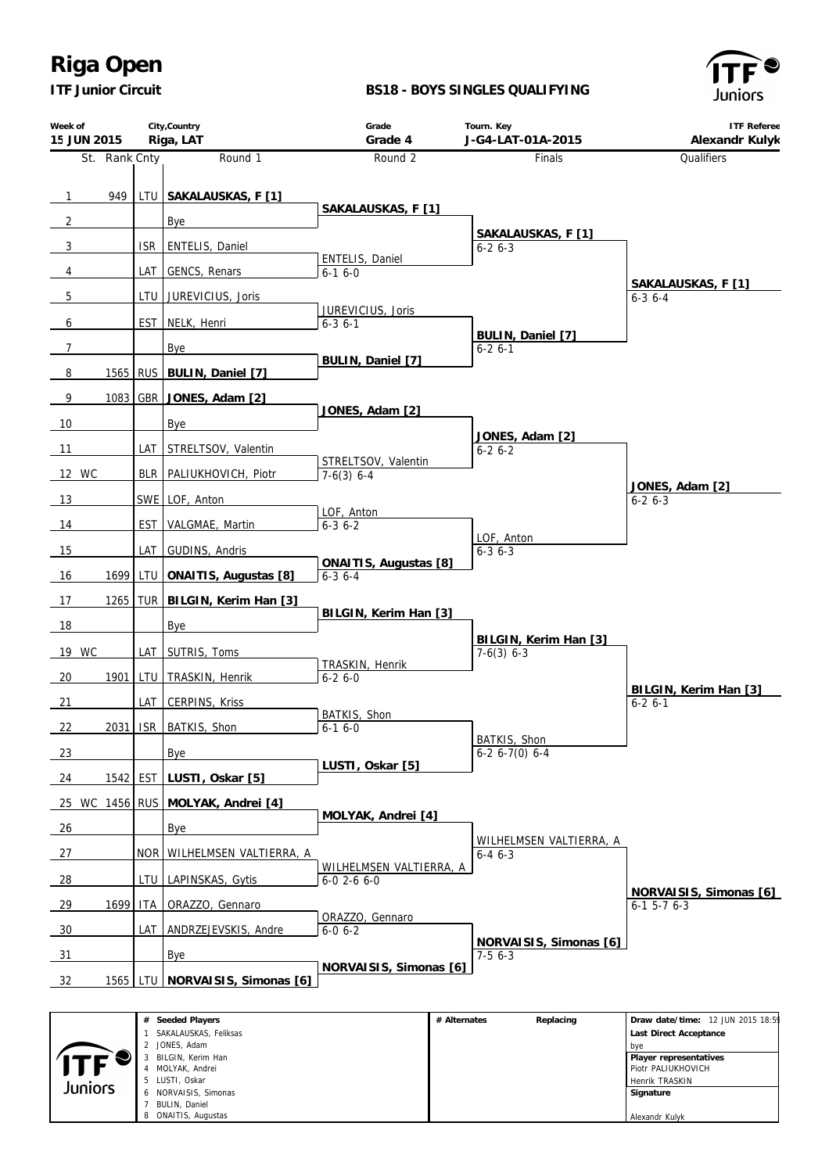*ITF Junior Circuit*

 LUSTI, Oskar NORVAISIS, Simonas BULIN, Daniel ONAITIS, Augustas

#### **BS18 - BOYS SINGLES QUALIFYING**



 Henrik TRASKIN  **Signature** Alexandr Kulyk

| Week of<br>15 JUN 2015 |               |            | City, Country<br>Riga, LAT                                                                                                                        | Grade<br>Grade 4                               |              | Tourn. Key<br>J-G4-LAT-01A-2015          | <b>ITF Referee</b><br>Alexandr Kulyk                                                                                                             |
|------------------------|---------------|------------|---------------------------------------------------------------------------------------------------------------------------------------------------|------------------------------------------------|--------------|------------------------------------------|--------------------------------------------------------------------------------------------------------------------------------------------------|
|                        | St. Rank Cnty |            | Round 1                                                                                                                                           | Round 2                                        |              | Finals                                   | Qualifiers                                                                                                                                       |
|                        |               |            |                                                                                                                                                   |                                                |              |                                          |                                                                                                                                                  |
| $\overline{1}$         | 949           |            | LTU SAKALAUSKAS, F [1]                                                                                                                            | SAKALAUSKAS, F [1]                             |              |                                          |                                                                                                                                                  |
| $\overline{2}$         |               |            | Bye                                                                                                                                               |                                                |              | SAKALAUSKAS, F [1]                       |                                                                                                                                                  |
| $\mathbf{3}$           |               | <b>ISR</b> | <b>ENTELIS, Daniel</b>                                                                                                                            | ENTELIS, Daniel                                |              | $6 - 26 - 3$                             |                                                                                                                                                  |
| $\overline{4}$         |               | LAT        | GENCS, Renars                                                                                                                                     | $6-16-0$                                       |              |                                          | SAKALAUSKAS, F [1]                                                                                                                               |
| $5\phantom{.0}$        |               | LTU        | JUREVICIUS, Joris                                                                                                                                 | JUREVICIUS, Joris                              |              |                                          | $6 - 3$ 6 - 4                                                                                                                                    |
| 6                      |               | <b>EST</b> | NELK, Henri                                                                                                                                       | $6 - 3$ $6 - 1$                                |              | BULIN, Daniel [7]                        |                                                                                                                                                  |
| $\overline{7}$         |               |            | Bye                                                                                                                                               |                                                |              | $6 - 26 - 1$                             |                                                                                                                                                  |
| 8                      | 1565          | <b>RUS</b> | BULIN, Daniel [7]                                                                                                                                 | BULIN, Daniel [7]                              |              |                                          |                                                                                                                                                  |
| $\overline{9}$         | 1083          | GBR        | JONES, Adam [2]                                                                                                                                   |                                                |              |                                          |                                                                                                                                                  |
| 10                     |               |            | Bye                                                                                                                                               | JONES, Adam [2]                                |              |                                          |                                                                                                                                                  |
| 11                     |               | LAT        | STRELTSOV, Valentin                                                                                                                               |                                                |              | JONES, Adam [2]<br>$6 - 26 - 2$          |                                                                                                                                                  |
| 12 WC                  |               | <b>BLR</b> | PALIUKHOVICH, Piotr                                                                                                                               | STRELTSOV, Valentin<br>$7-6(3)$ 6-4            |              |                                          |                                                                                                                                                  |
| 13                     |               |            | SWE   LOF, Anton                                                                                                                                  |                                                |              |                                          | JONES, Adam [2]<br>$6 - 26 - 3$                                                                                                                  |
| 14                     |               | <b>EST</b> | VALGMAE, Martin                                                                                                                                   | LOF, Anton<br>$6 - 3$ $6 - 2$                  |              |                                          |                                                                                                                                                  |
| 15                     |               | LAT        | GUDINS, Andris                                                                                                                                    |                                                |              | LOF, Anton<br>$6 - 36 - 3$               |                                                                                                                                                  |
|                        |               |            |                                                                                                                                                   | ONAITIS, Augustas [8]                          |              |                                          |                                                                                                                                                  |
| 16                     | 1699          | LTU        | ONAITIS, Augustas [8]                                                                                                                             | $6 - 3$ $6 - 4$                                |              |                                          |                                                                                                                                                  |
| 17                     |               |            | 1265   TUR   BILGIN, Kerim Han [3]                                                                                                                | BILGIN, Kerim Han [3]                          |              |                                          |                                                                                                                                                  |
| 18                     |               |            | Bye                                                                                                                                               |                                                |              | BILGIN, Kerim Han [3]                    |                                                                                                                                                  |
| 19 WC                  |               | LAT        | SUTRIS, Toms                                                                                                                                      | TRASKIN, Henrik                                |              | $7-6(3)$ 6-3                             |                                                                                                                                                  |
| 20                     | 1901          | LTU        | TRASKIN, Henrik                                                                                                                                   | $6 - 26 - 0$                                   |              |                                          | BILGIN, Kerim Han [3]                                                                                                                            |
| 21                     |               | LAT        | <b>CERPINS, Kriss</b>                                                                                                                             | BATKIS, Shon                                   |              |                                          | $6 - 26 - 1$                                                                                                                                     |
| 22                     | 2031          |            | ISR   BATKIS, Shon                                                                                                                                | $6 - 16 - 0$                                   |              | BATKIS, Shon                             |                                                                                                                                                  |
| 23                     |               |            | Bye                                                                                                                                               |                                                |              | $6-2$ 6-7(0) 6-4                         |                                                                                                                                                  |
| 24                     | 1542          | <b>EST</b> | LUSTI, Oskar [5]                                                                                                                                  | LUSTI, Oskar [5]                               |              |                                          |                                                                                                                                                  |
|                        |               |            | 25 WC 1456 RUS MOLYAK, Andrei [4]                                                                                                                 |                                                |              |                                          |                                                                                                                                                  |
| 26                     |               |            | Bye                                                                                                                                               | MOLYAK, Andrei [4]                             |              |                                          |                                                                                                                                                  |
| 27                     |               | <b>NOR</b> | WILHELMSEN VALTIERRA, A                                                                                                                           |                                                |              | WILHELMSEN VALTIERRA, A<br>$6 - 4 6 - 3$ |                                                                                                                                                  |
| $\frac{28}{ }$         |               | LTU        | LAPINSKAS, Gytis                                                                                                                                  | WILHELMSEN VALTIERRA, A<br>$6 - 0$ 2-6 $6 - 0$ |              |                                          |                                                                                                                                                  |
| 29                     | 1699          | ITA.       | ORAZZO, Gennaro                                                                                                                                   |                                                |              |                                          | NORVAISIS, Simonas [6]<br>$6-1$ 5-7 $6-3$                                                                                                        |
| 30                     |               | LAT        | ANDRZEJEVSKIS, Andre                                                                                                                              | ORAZZO, Gennaro<br>$6 - 0 6 - 2$               |              |                                          |                                                                                                                                                  |
|                        |               |            |                                                                                                                                                   |                                                |              | NORVAISIS, Simonas [6]                   |                                                                                                                                                  |
| 31                     |               |            | Bye                                                                                                                                               | NORVAISIS, Simonas [6]                         |              | $7-56-3$                                 |                                                                                                                                                  |
| -32                    | 1565          | LTU        | NORVAISIS, Simonas [6]                                                                                                                            |                                                |              |                                          |                                                                                                                                                  |
| Juniors                |               |            | # Seeded Players<br>1 SAKALAUSKAS, Feliksas<br>2 JONES, Adam<br>3 BILGIN, Kerim Han<br>4 MOLYAK, Andrei<br>5 LUSTI, Oskar<br>6 NORVAISIS, Simonas |                                                | # Alternates | Replacing                                | Draw date/time: 12 JUN 2015 18:5<br>Last Direct Acceptance<br>bye<br>Player representatives<br>Piotr PALIUKHOVICH<br>Henrik TRASKIN<br>Signature |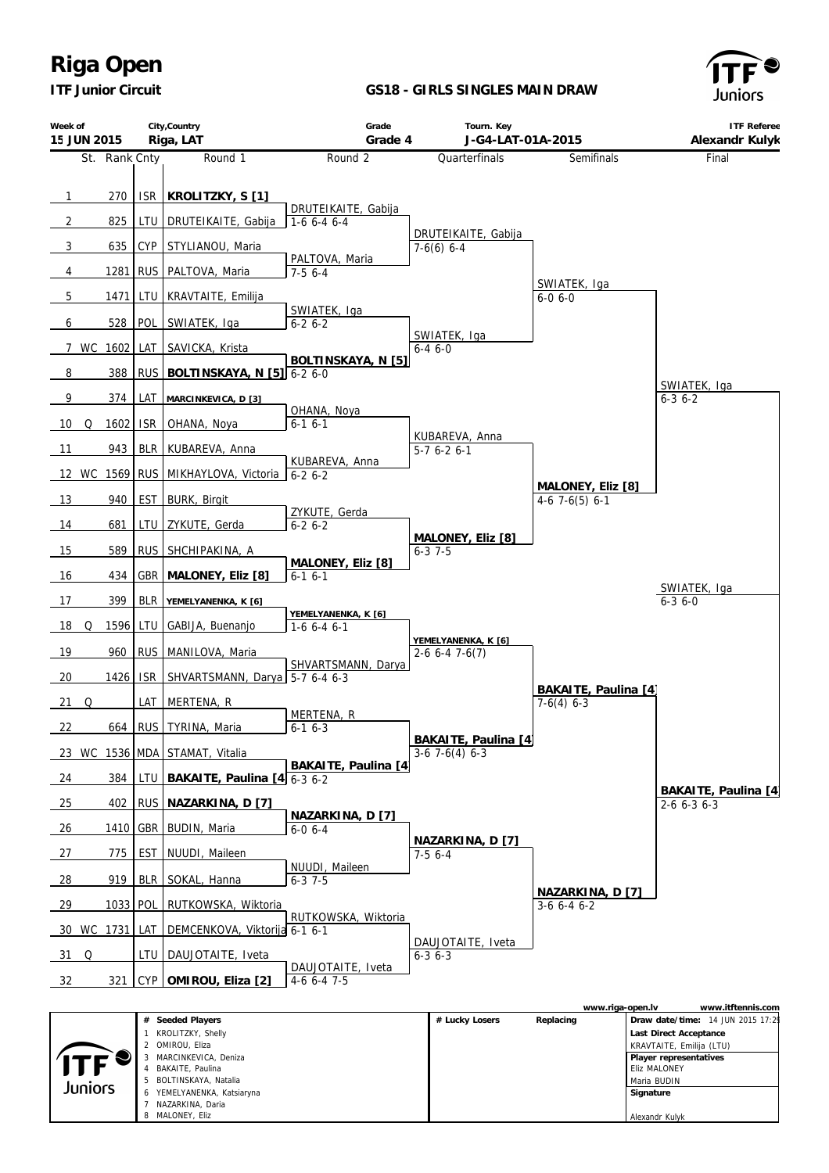*ITF Junior Circuit*

## **GS18 - GIRLS SINGLES MAIN DRAW**



| Week of<br>15 JUN 2015 |          |            | City, Country<br>Riga, LAT            | Grade<br>Grade 4                   | Tourn. Key<br>J-G4-LAT-01A-2015                |                                      | <b>ITF Referee</b><br>Alexandr Kulyk |
|------------------------|----------|------------|---------------------------------------|------------------------------------|------------------------------------------------|--------------------------------------|--------------------------------------|
| St. Rank Cnty          |          |            | Round 1                               | Round 2                            | Quarterfinals                                  | Semifinals                           | Final                                |
|                        |          |            |                                       |                                    |                                                |                                      |                                      |
| $\overline{1}$         | 270      | ISR.       | KROLITZKY, S [1]                      | DRUTEIKAITE, Gabija                |                                                |                                      |                                      |
| $\overline{2}$         | 825      | LTU        | DRUTEIKAITE, Gabija                   | $1-66-46-4$                        | DRUTEIKAITE, Gabija                            |                                      |                                      |
| $\frac{3}{2}$          | 635      | CYP        | STYLIANOU, Maria                      | PALTOVA, Maria                     | $7-6(6)$ 6-4                                   |                                      |                                      |
| $\overline{4}$         | 1281     | <b>RUS</b> | PALTOVA, Maria                        | $7-56--4$                          |                                                |                                      |                                      |
| $\overline{5}$         | 1471     | LTU        | KRAVTAITE, Emilija                    |                                    |                                                | SWIATEK, Iga<br>$6 - 0 6 - 0$        |                                      |
| 6                      | 528      | POL        | SWIATEK, Iga                          | SWIATEK, Iga<br>$6 - 26 - 2$       |                                                |                                      |                                      |
| 7 WC 1602              |          | LAT        | SAVICKA, Krista                       |                                    | SWIATEK, Iga<br>$6 - 46 - 0$                   |                                      |                                      |
| 8                      | 388      |            | RUS   BOLTINSKAYA, N [5] 6-2 6-0      | BOLTINSKAYA, N [5]                 |                                                |                                      |                                      |
| 9                      | 374      | LAT        | MARCINKEVICA, D [3]                   |                                    |                                                |                                      | SWIATEK, Iga<br>$6 - 3 6 - 2$        |
| 10<br>Q                | 1602     | <b>ISR</b> | OHANA, Noya                           | OHANA, Noya<br>$6-16-1$            |                                                |                                      |                                      |
|                        | 943      |            |                                       |                                    | KUBAREVA, Anna                                 |                                      |                                      |
| 11                     |          |            | BLR KUBAREVA, Anna                    | KUBAREVA, Anna                     | $5-7$ 6-2 6-1                                  |                                      |                                      |
|                        |          |            | 12 WC 1569 RUS   MIKHAYLOVA, Victoria | $6 - 26 - 2$                       |                                                | MALONEY, Eliz [8]                    |                                      |
| 13                     | 940      | <b>EST</b> | <b>BURK, Birgit</b>                   | ZYKUTE, Gerda                      |                                                | $4-6$ 7 $-6(5)$ 6 $-1$               |                                      |
| $\frac{14}{1}$         | 681      | LTU        | ZYKUTE, Gerda                         | $6 - 26 - 2$                       | MALONEY, Eliz [8]                              |                                      |                                      |
| 15                     | 589      | <b>RUS</b> | SHCHIPAKINA, A                        | MALONEY, Eliz [8]                  | $6 - 3$ 7-5                                    |                                      |                                      |
| 16                     | 434      | GBR        | MALONEY, Eliz [8]                     | $6-1$ $6-1$                        |                                                |                                      | SWIATEK, Iga                         |
| 17                     | 399      | <b>BLR</b> | YEMELYANENKA, K [6]                   |                                    |                                                |                                      | $6 - 3$ $6 - 0$                      |
| 18<br>Q                | 1596     | LTU        | GABIJA, Buenanjo                      | YEMELYANENKA, K [6]<br>$1-66-46-1$ |                                                |                                      |                                      |
| 19                     | 960      | <b>RUS</b> | MANILOVA, Maria                       |                                    | YEMELYANENKA, K [6]<br>$2-6$ 6-4 7-6(7)        |                                      |                                      |
| 20                     | 1426     | <b>ISR</b> | SHVARTSMANN, Darya   5-7 6-4 6-3      | SHVARTSMANN, Darya                 |                                                |                                      |                                      |
| 21<br>Q                |          | LAT        | MERTENA, R                            |                                    |                                                | BAKAITE, Paulina [4]<br>$7-6(4)$ 6-3 |                                      |
| 22                     | 664      |            | RUS   TYRINA, Maria                   | MERTENA, R<br>$6-1$ $6-3$          |                                                |                                      |                                      |
|                        |          |            | 23 WC 1536 MDA STAMAT, Vitalia        |                                    | BAKAITE, Paulina [4]<br>$3-6$ 7 $-6(4)$ 6 $-3$ |                                      |                                      |
| 24                     | 384      |            | LTU   BAKAITE, Paulina $[4]$ 6-3 6-2  | BAKAITE, Paulina [4]               |                                                |                                      |                                      |
|                        | 402      |            | RUS NAZARKINA, D [7]                  |                                    |                                                |                                      | BAKAITE, Paulina [4]                 |
| 25                     |          |            |                                       | NAZARKINA, D [7]                   |                                                |                                      | $2-6$ 6-3 6-3                        |
| 26                     |          |            | 1410   GBR   BUDIN, Maria             | $6 - 06 - 4$                       | NAZARKINA, D [7]                               |                                      |                                      |
| 27                     | 775      | <b>EST</b> | NUUDI, Maileen                        | NUUDI, Maileen                     | $7-56-4$                                       |                                      |                                      |
| $\frac{28}{ }$         | 919      | BLR        | SOKAL, Hanna                          | $6 - 37 - 5$                       |                                                | NAZARKINA, D [7]                     |                                      |
| 29                     | 1033 POL |            | RUTKOWSKA, Wiktoria                   | RUTKOWSKA, Wiktoria                |                                                | $3-6$ 6-4 6-2                        |                                      |
| 30 WC 1731             |          | LAT        | DEMCENKOVA, Viktorija 6-1 6-1         |                                    | DAUJOTAITE, Iveta                              |                                      |                                      |
| 31<br>Q                |          | LTU        | DAUJOTAITE, Iveta                     |                                    | $6 - 3$ $6 - 3$                                |                                      |                                      |
| 32                     | 321      | CYP        | OMIROU, Eliza [2]                     | DAUJOTAITE, Iveta<br>$4-6$ 6-4 7-5 |                                                |                                      |                                      |
|                        |          |            |                                       |                                    |                                                |                                      |                                      |

|         |                            |                | www.riga-open.ly |                                  | www.itftennis.com |
|---------|----------------------------|----------------|------------------|----------------------------------|-------------------|
|         | # Seeded Players           | # Lucky Losers | Replacing        | Draw date/time: 14 JUN 2015 17:2 |                   |
|         | KROLITZKY, Shelly          |                |                  | Last Direct Acceptance           |                   |
|         | 2 OMIROU, Eliza            |                |                  | KRAVTAITE, Emilija (LTU)         |                   |
|         | MARCINKEVICA, Deniza       |                |                  | Player representatives           |                   |
|         | BAKAITE, Paulina           |                |                  | <b>Eliz MALONEY</b>              |                   |
| Juniors | 5 BOLTINSKAYA, Natalia     |                |                  | Maria BUDIN                      |                   |
|         | 6 YEMELYANENKA, Katsiaryna |                |                  | Signature                        |                   |
|         | NAZARKINA, Daria           |                |                  |                                  |                   |
|         | 8 MALONEY, Eliz            |                |                  | Alexandr Kulyk                   |                   |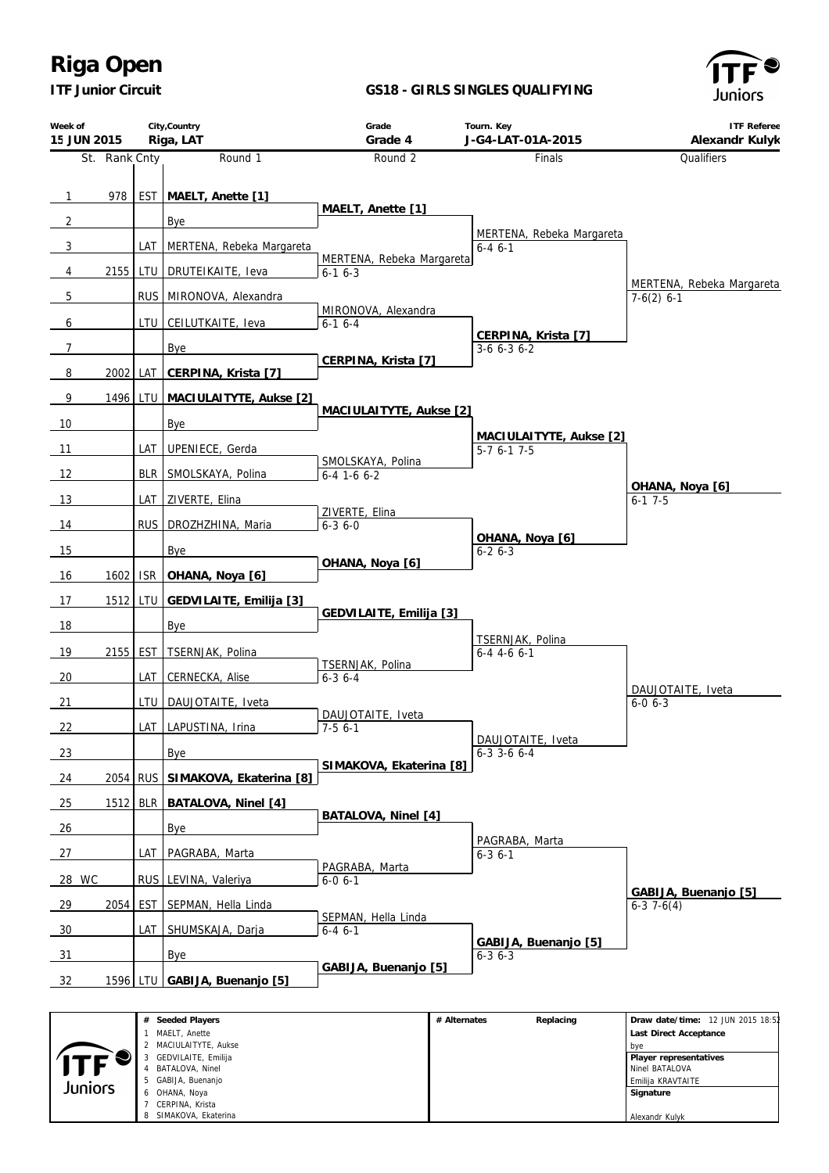*ITF Junior Circuit*

 BATALOVA, Ninel GABIJA, Buenanjo OHANA, Noya CERPINA, Krista SIMAKOVA, Ekaterina

 $J J F$ Juniors

#### **GS18 - GIRLS SINGLES QUALIFYING**



 Ninel BATALOVA Emilija KRAVTAITE  **Signature** Alexandr Kulyk

| Week of<br>15 JUN 2015 |               |            | City, Country<br>Riga, LAT                     | Grade<br>Grade 4                | Tourn. Key<br>J-G4-LAT-01A-2015      | <b>ITF Referee</b><br>Alexandr Kulyk                        |
|------------------------|---------------|------------|------------------------------------------------|---------------------------------|--------------------------------------|-------------------------------------------------------------|
|                        | St. Rank Cnty |            | Round 1                                        | Round 2                         | Finals                               | Qualifiers                                                  |
|                        |               |            |                                                |                                 |                                      |                                                             |
| $\overline{1}$         | 978           |            | EST_MAELT, Anette [1]                          | MAELT, Anette [1]               |                                      |                                                             |
| $\overline{2}$         |               |            | Bye                                            |                                 | MERTENA, Rebeka Margareta            |                                                             |
| $\mathbf{3}$           |               | LAT        | MERTENA, Rebeka Margareta                      | MERTENA, Rebeka Margareta       | $6 - 46 - 1$                         |                                                             |
| $\overline{4}$         | 2155          | LTU        | DRUTEIKAITE, Ieva                              | $6-16-3$                        |                                      |                                                             |
| 5                      |               |            | RUS MIRONOVA, Alexandra                        |                                 |                                      | MERTENA, Rebeka Margareta<br>$7-6(2)$ 6-1                   |
| 6                      |               |            | LTU CEILUTKAITE, leva                          | MIRONOVA, Alexandra<br>$6-16-4$ |                                      |                                                             |
| $\overline{7}$         |               |            | Bye                                            |                                 | CERPINA, Krista [7]<br>$3-6$ 6-3 6-2 |                                                             |
| 8                      | 2002          | LAT        | CERPINA, Krista [7]                            | CERPINA, Krista [7]             |                                      |                                                             |
| 9                      |               |            | 1496 LTU   MACIULAITYTE, Aukse [2]             |                                 |                                      |                                                             |
|                        |               |            |                                                | MACIULAITYTE, Aukse [2]         |                                      |                                                             |
| 10                     |               |            | Bye                                            |                                 | MACIULAITYTE, Aukse [2]              |                                                             |
| 11                     |               | LAT        | UPENIECE, Gerda                                | SMOLSKAYA, Polina               | $5-76-17-5$                          |                                                             |
| 12                     |               | <b>BLR</b> | SMOLSKAYA, Polina                              | $6-4$ 1-6 $6-2$                 |                                      | OHANA, Noya [6]                                             |
| 13                     |               | LAT        | ZIVERTE, Elina                                 | ZIVERTE, Elina                  |                                      | $6-1$ 7-5                                                   |
| 14                     |               | <b>RUS</b> | DROZHZHINA, Maria                              | $6 - 3$ $6 - 0$                 |                                      |                                                             |
| 15                     |               |            | Bye                                            |                                 | OHANA, Noya [6]<br>$6 - 26 - 3$      |                                                             |
| 16                     | 1602          | <b>ISR</b> | OHANA, Noya [6]                                | OHANA, Noya [6]                 |                                      |                                                             |
| 17                     | 1512          | LTU        | GEDVILAITE, Emilija [3]                        |                                 |                                      |                                                             |
| 18                     |               |            | Bye                                            | GEDVILAITE, Emilija [3]         |                                      |                                                             |
|                        |               |            |                                                |                                 | TSERNJAK, Polina                     |                                                             |
| 19                     | 2155          | EST        | TSERNJAK, Polina                               | TSERNJAK, Polina                | $6-4$ 4-6 6-1                        |                                                             |
| 20                     |               | LAT        | CERNECKA, Alise                                | $6 - 3$ $6 - 4$                 |                                      | DAUJOTAITE, Iveta                                           |
| 21                     |               | LTU        | DAUJOTAITE, Iveta                              | DAUJOTAITE, Iveta               |                                      | $6 - 0 6 - 3$                                               |
| 22                     |               |            | LAT_LAPUSTINA, Irina                           | $7-56-1$                        | DAUJOTAITE, Iveta                    |                                                             |
| 23                     |               |            | <b>Bye</b>                                     |                                 | $6-3$ 3-6 6-4                        |                                                             |
| 24                     | 2054          | <b>RUS</b> | SIMAKOVA, Ekaterina [8]                        | SIMAKOVA, Ekaterina [8]         |                                      |                                                             |
| 25                     | 1512          | <b>BLR</b> | BATALOVA, Ninel [4]                            |                                 |                                      |                                                             |
| 26                     |               |            | Bye                                            | BATALOVA, Ninel [4]             |                                      |                                                             |
| 27                     |               | LAT        | PAGRABA, Marta                                 |                                 | PAGRABA, Marta<br>$6 - 36 - 1$       |                                                             |
| <b>WC</b><br>28        |               | <b>RUS</b> | LEVINA, Valeriya                               | PAGRABA, Marta<br>$6 - 0 6 - 1$ |                                      |                                                             |
|                        |               |            |                                                |                                 |                                      | GABIJA, Buenanjo [5]                                        |
| $\frac{29}{2}$         | 2054          | <b>EST</b> | SEPMAN, Hella Linda                            | SEPMAN, Hella Linda             |                                      | $6-37-6(4)$                                                 |
| 30                     |               | LAT        | SHUMSKAJA, Darja                               | $6 - 46 - 1$                    | GABIJA, Buenanjo [5]                 |                                                             |
| 31                     |               |            | Bye                                            | GABIJA, Buenanjo [5]            | $6 - 3$ $6 - 3$                      |                                                             |
| 32                     | 1596 LTU      |            | GABIJA, Buenanjo [5]                           |                                 |                                      |                                                             |
|                        |               |            |                                                |                                 |                                      |                                                             |
|                        |               |            | # Seeded Players<br>1 MAELT, Anette            |                                 | # Alternates<br>Replacing            | Draw date/time: 12 JUN 2015 18:52<br>Last Direct Acceptance |
|                        |               |            | 2 MACIULAITYTE, Aukse<br>3 GEDVILAITE, Emilija |                                 |                                      | bye<br>Player representatives                               |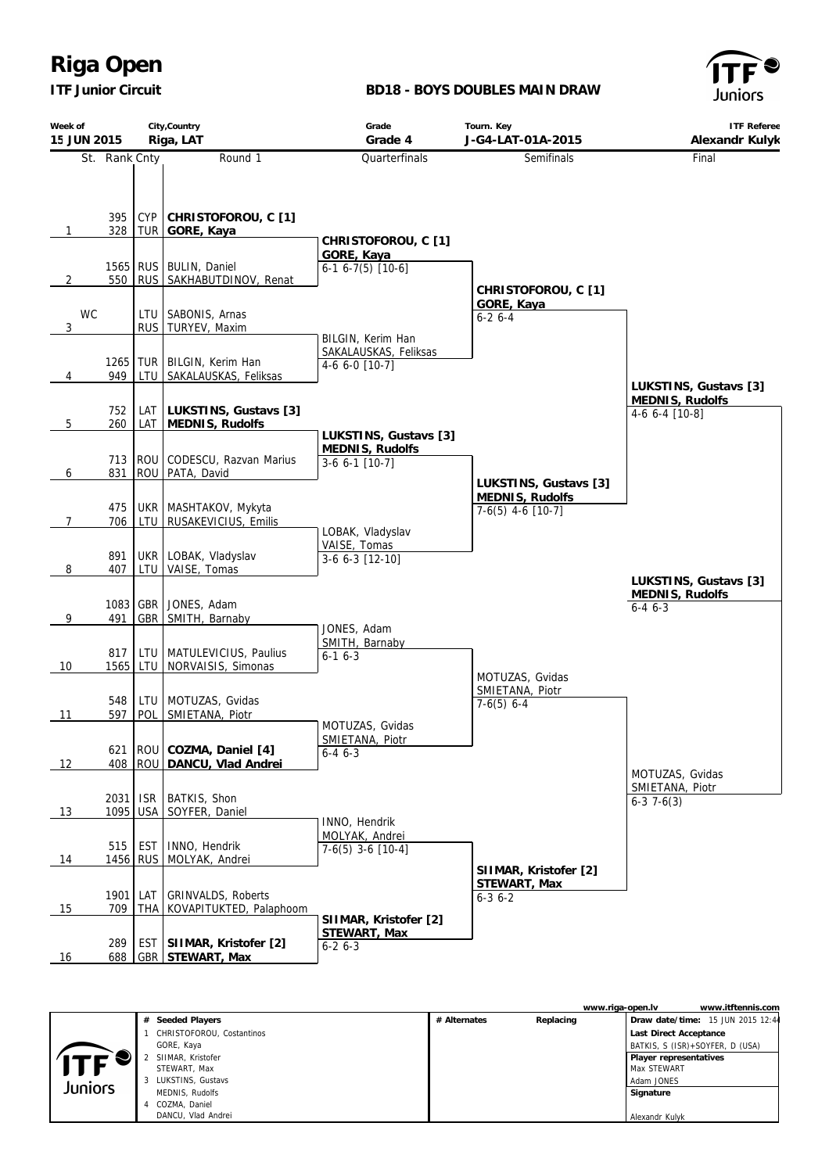*ITF Junior Circuit*

### **BD18 - BOYS DOUBLES MAIN DRAW**



| Week of<br>15 JUN 2015 |                 |            | City, Country<br>Riga, LAT                                                      | Grade<br>Grade 4                                                 | Tourn. Key<br>J-G4-LAT-01A-2015                                 | ITF Referee<br>Alexandr Kulyk            |
|------------------------|-----------------|------------|---------------------------------------------------------------------------------|------------------------------------------------------------------|-----------------------------------------------------------------|------------------------------------------|
|                        | St. Rank Cnty   |            | Round 1                                                                         | Quarterfinals                                                    | Semifinals                                                      | Final                                    |
| 1                      |                 |            | 395   CYP   CHRISTOFOROU, C [1]<br>328 TUR GORE, Kaya<br>1565 RUS BULIN, Daniel | CHRISTOFOROU, C [1]<br>GORE, Kaya<br>$6-1$ $6-7(5)$ [10-6]       |                                                                 |                                          |
| 2<br>WC<br>3           |                 |            | 550   RUS   SAKHABUTDINOV, Renat<br>LTU   SABONIS, Arnas<br>RUS   TURYEV, Maxim |                                                                  | CHRISTOFOROU, C [1]<br>GORE, Kaya<br>$6 - 26 - 4$               |                                          |
| 4                      | 949             |            | 1265   TUR   BILGIN, Kerim Han<br>LTU SAKALAUSKAS, Feliksas                     | BILGIN, Kerim Han<br>SAKALAUSKAS, Feliksas<br>$4-6$ 6-0 $[10-7]$ |                                                                 | LUKSTINS, Gustavs [3]<br>MEDNIS, Rudolfs |
| 5                      | 752<br>260      |            | LAT   LUKSTINS, Gustavs [3]<br>LAT   MEDNIS, Rudolfs                            |                                                                  |                                                                 | 4-6 6-4 [10-8]                           |
| 6                      | 831             |            | 713 ROU CODESCU, Razvan Marius<br>ROU PATA, David                               | LUKSTINS, Gustavs [3]<br>MEDNIS, Rudolfs<br>$3-6$ 6-1 [10-7]     |                                                                 |                                          |
| $\overline{7}$         | 475<br>706      |            | UKR   MASHTAKOV, Mykyta<br>LTU   RUSAKEVICIUS, Emilis                           | LOBAK, Vladyslav                                                 | LUKSTINS, Gustavs [3]<br>MEDNIS, Rudolfs<br>$7-6(5)$ 4-6 [10-7] |                                          |
| 8                      | 891<br>407      |            | UKR LOBAK, Vladyslav<br>LTU   VAISE, Tomas                                      | VAISE, Tomas<br>$3-6$ $6-3$ $[12-10]$                            |                                                                 | LUKSTINS, Gustavs [3]                    |
| 9                      | 491             |            | 1083 GBR JONES, Adam<br>GBR   SMITH, Barnaby                                    | JONES, Adam                                                      |                                                                 | MEDNIS, Rudolfs<br>$6 - 46 - -3$         |
| 10                     |                 |            | 817   LTU   MATULEVICIUS, Paulius<br>1565 LTU NORVAISIS, Simonas                | SMITH, Barnaby<br>$6 - 16 - 3$                                   | MOTUZAS, Gvidas                                                 |                                          |
| 11                     | 548<br>597      | POL        | LTU   MOTUZAS, Gvidas<br>SMIETANA, Piotr                                        | MOTUZAS, Gvidas                                                  | SMIETANA, Piotr<br>$7-6(5)$ 6-4                                 |                                          |
| 12                     | 621             |            | ROU COZMA, Daniel [4]<br>408   ROU   DANCU, Vlad Andrei                         | SMIETANA, Piotr<br>$6 - 4$ $6 - 3$                               |                                                                 | MOTUZAS, Gvidas                          |
| 13                     | 2031            |            | ISR   BATKIS, Shon<br>1095   USA   SOYFER, Daniel                               | INNO, Hendrik                                                    |                                                                 | SMIETANA, Piotr<br>$6-37-6(3)$           |
| 14                     | 515             | <b>EST</b> | INNO, Hendrik<br>1456 RUS MOLYAK, Andrei                                        | MOLYAK, Andrei<br>$7-6(5)$ 3-6 $[10-4]$                          | SIIMAR, Kristofer [2]                                           |                                          |
| 15                     | 1901 LAT<br>709 |            | GRINVALDS, Roberts<br>THA KOVAPITUKTED, Palaphoom                               | SIIMAR, Kristofer [2]                                            | STEWART, Max<br>$6 - 3$ $6 - 2$                                 |                                          |
| 16                     | 289<br>688      |            | EST   SIIMAR, Kristofer [2]<br>GBR STEWART, Max                                 | STEWART, Max<br>$6 - 26 - 3$                                     |                                                                 |                                          |

|         |    |                           |              | www.riga-open.lv |                                 | www.itftennis.com                 |
|---------|----|---------------------------|--------------|------------------|---------------------------------|-----------------------------------|
|         | #  | Seeded Players            | # Alternates | Replacing        |                                 | Draw date/time: 15 JUN 2015 12:44 |
|         |    | CHRISTOFOROU, Costantinos |              |                  | Last Direct Acceptance          |                                   |
|         |    | GORE, Kaya                |              |                  | BATKIS, S (ISR)+SOYFER, D (USA) |                                   |
|         |    | SIIMAR, Kristofer         |              |                  | Player representatives          |                                   |
|         |    | STEWART, Max              |              |                  | Max STEWART                     |                                   |
| Juniors | 3. | LUKSTINS, Gustavs         |              |                  | Adam JONES                      |                                   |
|         |    | MEDNIS, Rudolfs           |              |                  | Signature                       |                                   |
|         |    | COZMA, Daniel             |              |                  |                                 |                                   |
|         |    | DANCU, Vlad Andrei        |              |                  | Alexandr Kulyk                  |                                   |